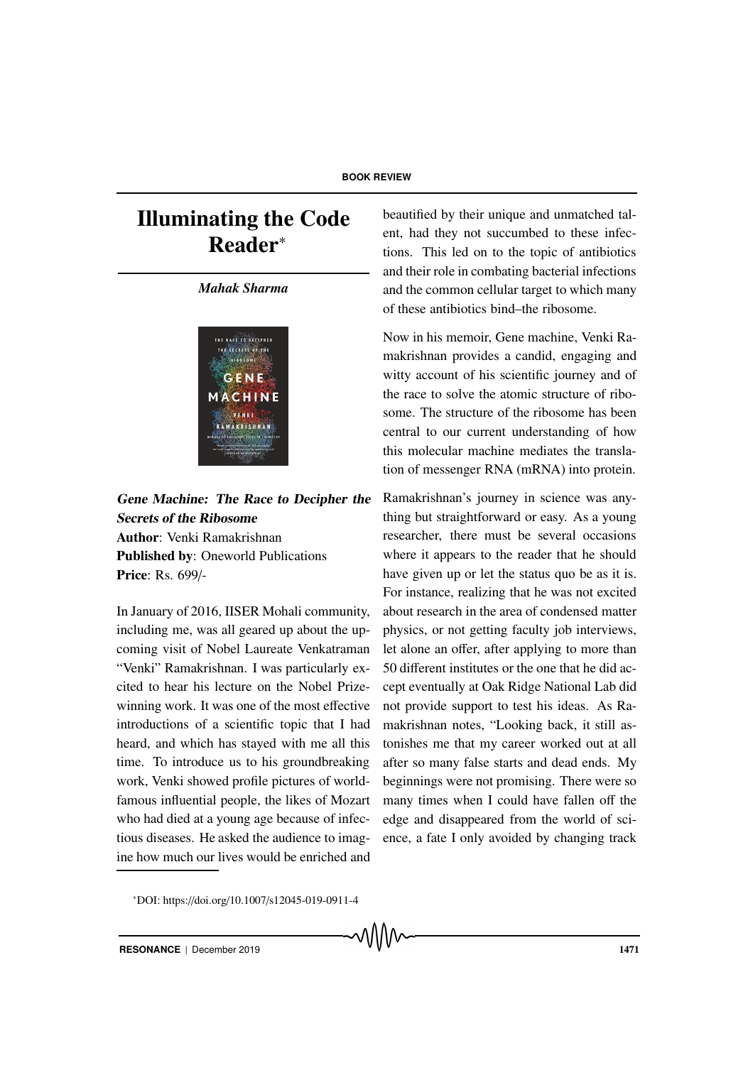## Illuminating the Code Reader<sup>∗</sup>

## *Mahak Sharma*



Gene Machine: The Race to Decipher the Secrets of the Ribosome Author: Venki Ramakrishnan Published by: Oneworld Publications Price: Rs. 699/-

In January of 2016, IISER Mohali community, including me, was all geared up about the upcoming visit of Nobel Laureate Venkatraman "Venki" Ramakrishnan. I was particularly excited to hear his lecture on the Nobel Prizewinning work. It was one of the most effective introductions of a scientific topic that I had heard, and which has stayed with me all this time. To introduce us to his groundbreaking work, Venki showed profile pictures of worldfamous influential people, the likes of Mozart who had died at a young age because of infectious diseases. He asked the audience to imagine how much our lives would be enriched and beautified by their unique and unmatched talent, had they not succumbed to these infections. This led on to the topic of antibiotics and their role in combating bacterial infections and the common cellular target to which many of these antibiotics bind–the ribosome.

Now in his memoir, Gene machine, Venki Ramakrishnan provides a candid, engaging and witty account of his scientific journey and of the race to solve the atomic structure of ribosome. The structure of the ribosome has been central to our current understanding of how this molecular machine mediates the translation of messenger RNA (mRNA) into protein.

Ramakrishnan's journey in science was anything but straightforward or easy. As a young researcher, there must be several occasions where it appears to the reader that he should have given up or let the status quo be as it is. For instance, realizing that he was not excited about research in the area of condensed matter physics, or not getting faculty job interviews, let alone an offer, after applying to more than 50 different institutes or the one that he did accept eventually at Oak Ridge National Lab did not provide support to test his ideas. As Ramakrishnan notes, "Looking back, it still astonishes me that my career worked out at all after so many false starts and dead ends. My beginnings were not promising. There were so many times when I could have fallen off the edge and disappeared from the world of science, a fate I only avoided by changing track

<sup>∗</sup>DOI: https://doi.org/10.1007/s12045-019-0911-4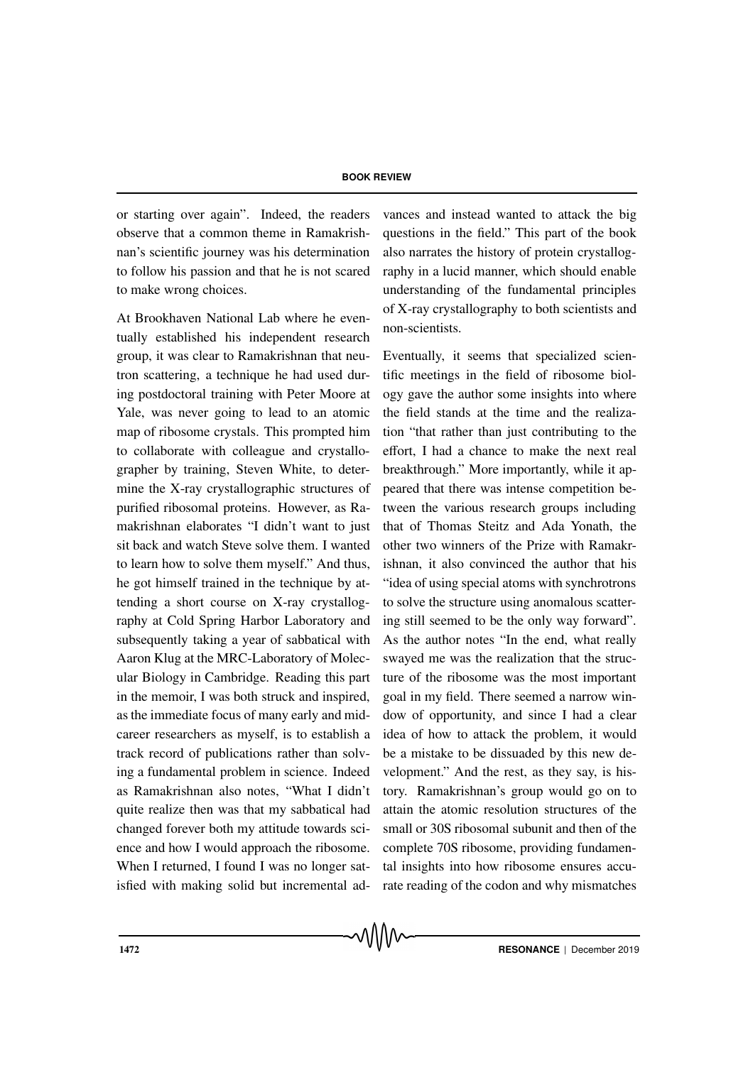or starting over again". Indeed, the readers observe that a common theme in Ramakrishnan's scientific journey was his determination to follow his passion and that he is not scared to make wrong choices.

At Brookhaven National Lab where he eventually established his independent research group, it was clear to Ramakrishnan that neutron scattering, a technique he had used during postdoctoral training with Peter Moore at Yale, was never going to lead to an atomic map of ribosome crystals. This prompted him to collaborate with colleague and crystallographer by training, Steven White, to determine the X-ray crystallographic structures of purified ribosomal proteins. However, as Ramakrishnan elaborates "I didn't want to just sit back and watch Steve solve them. I wanted to learn how to solve them myself." And thus, he got himself trained in the technique by attending a short course on X-ray crystallography at Cold Spring Harbor Laboratory and subsequently taking a year of sabbatical with Aaron Klug at the MRC-Laboratory of Molecular Biology in Cambridge. Reading this part in the memoir, I was both struck and inspired, as the immediate focus of many early and midcareer researchers as myself, is to establish a track record of publications rather than solving a fundamental problem in science. Indeed as Ramakrishnan also notes, "What I didn't quite realize then was that my sabbatical had changed forever both my attitude towards science and how I would approach the ribosome. When I returned, I found I was no longer satisfied with making solid but incremental advances and instead wanted to attack the big questions in the field." This part of the book also narrates the history of protein crystallography in a lucid manner, which should enable understanding of the fundamental principles of X-ray crystallography to both scientists and non-scientists.

Eventually, it seems that specialized scientific meetings in the field of ribosome biology gave the author some insights into where the field stands at the time and the realization "that rather than just contributing to the effort, I had a chance to make the next real breakthrough." More importantly, while it appeared that there was intense competition between the various research groups including that of Thomas Steitz and Ada Yonath, the other two winners of the Prize with Ramakrishnan, it also convinced the author that his "idea of using special atoms with synchrotrons to solve the structure using anomalous scattering still seemed to be the only way forward". As the author notes "In the end, what really swayed me was the realization that the structure of the ribosome was the most important goal in my field. There seemed a narrow window of opportunity, and since I had a clear idea of how to attack the problem, it would be a mistake to be dissuaded by this new development." And the rest, as they say, is history. Ramakrishnan's group would go on to attain the atomic resolution structures of the small or 30S ribosomal subunit and then of the complete 70S ribosome, providing fundamental insights into how ribosome ensures accurate reading of the codon and why mismatches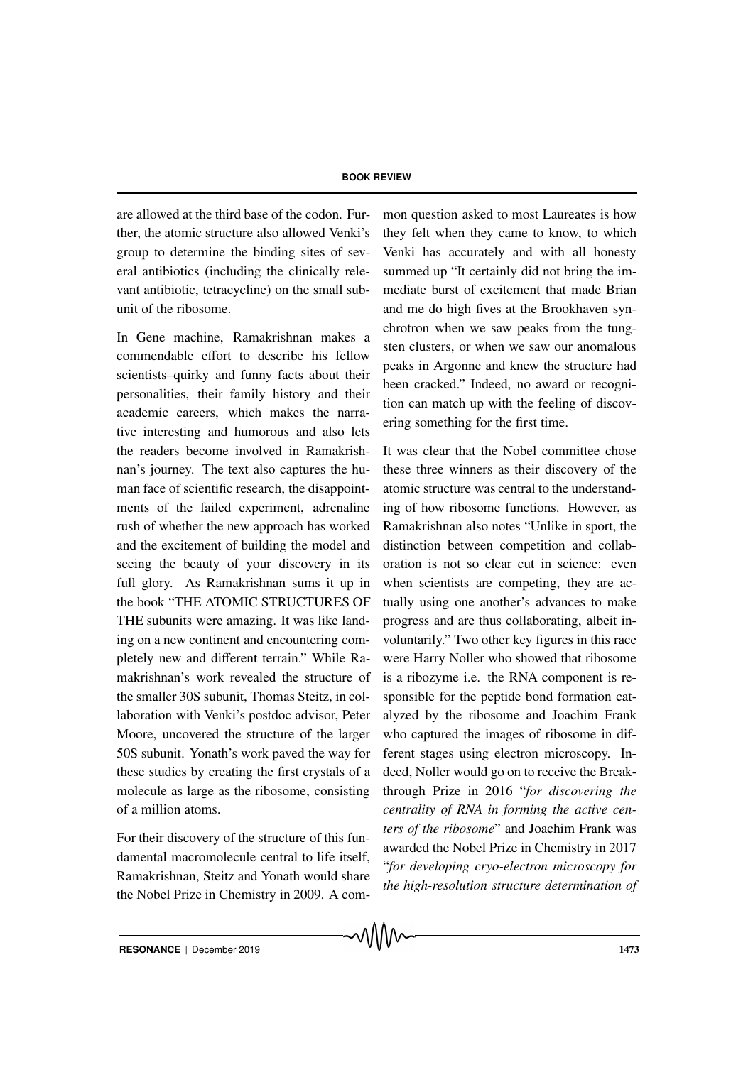are allowed at the third base of the codon. Further, the atomic structure also allowed Venki's group to determine the binding sites of several antibiotics (including the clinically relevant antibiotic, tetracycline) on the small subunit of the ribosome.

In Gene machine, Ramakrishnan makes a commendable effort to describe his fellow scientists–quirky and funny facts about their personalities, their family history and their academic careers, which makes the narrative interesting and humorous and also lets the readers become involved in Ramakrishnan's journey. The text also captures the human face of scientific research, the disappointments of the failed experiment, adrenaline rush of whether the new approach has worked and the excitement of building the model and seeing the beauty of your discovery in its full glory. As Ramakrishnan sums it up in the book "THE ATOMIC STRUCTURES OF THE subunits were amazing. It was like landing on a new continent and encountering completely new and different terrain." While Ramakrishnan's work revealed the structure of the smaller 30S subunit, Thomas Steitz, in collaboration with Venki's postdoc advisor, Peter Moore, uncovered the structure of the larger 50S subunit. Yonath's work paved the way for these studies by creating the first crystals of a molecule as large as the ribosome, consisting of a million atoms.

For their discovery of the structure of this fundamental macromolecule central to life itself, Ramakrishnan, Steitz and Yonath would share the Nobel Prize in Chemistry in 2009. A common question asked to most Laureates is how they felt when they came to know, to which Venki has accurately and with all honesty summed up "It certainly did not bring the immediate burst of excitement that made Brian and me do high fives at the Brookhaven synchrotron when we saw peaks from the tungsten clusters, or when we saw our anomalous peaks in Argonne and knew the structure had been cracked." Indeed, no award or recognition can match up with the feeling of discovering something for the first time.

It was clear that the Nobel committee chose these three winners as their discovery of the atomic structure was central to the understanding of how ribosome functions. However, as Ramakrishnan also notes "Unlike in sport, the distinction between competition and collaboration is not so clear cut in science: even when scientists are competing, they are actually using one another's advances to make progress and are thus collaborating, albeit involuntarily." Two other key figures in this race were Harry Noller who showed that ribosome is a ribozyme i.e. the RNA component is responsible for the peptide bond formation catalyzed by the ribosome and Joachim Frank who captured the images of ribosome in different stages using electron microscopy. Indeed, Noller would go on to receive the Breakthrough Prize in 2016 "*for discovering the centrality of RNA in forming the active centers of the ribosome*" and Joachim Frank was awarded the Nobel Prize in Chemistry in 2017 "*for developing cryo-electron microscopy for the high-resolution structure determination of*